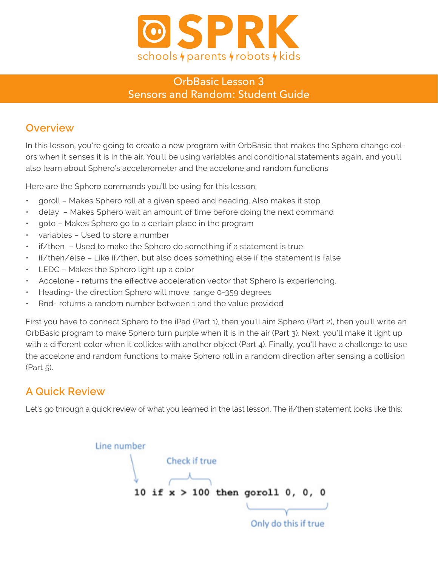

### OrbBasic Lesson 3 Sensors and Random: Student Guide

### **Overview**

In this lesson, you're going to create a new program with OrbBasic that makes the Sphero change colors when it senses it is in the air. You'll be using variables and conditional statements again, and you'll also learn about Sphero's accelerometer and the accelone and random functions.

Here are the Sphero commands you'll be using for this lesson:

- goroll Makes Sphero roll at a given speed and heading. Also makes it stop.
- delay Makes Sphero wait an amount of time before doing the next command
- goto Makes Sphero go to a certain place in the program
- variables Used to store a number
- if/then Used to make the Sphero do something if a statement is true
- if/then/else Like if/then, but also does something else if the statement is false
- $\cdot$  LEDC Makes the Sphero light up a color
- Accelone returns the effective acceleration vector that Sphero is experiencing.
- Heading- the direction Sphero will move, range 0-359 degrees
- Rnd- returns a random number between 1 and the value provided

First you have to connect Sphero to the iPad (Part 1), then you'll aim Sphero (Part 2), then you'll write an OrbBasic program to make Sphero turn purple when it is in the air (Part 3). Next, you'll make it light up with a different color when it collides with another object (Part 4). Finally, you'll have a challenge to use the accelone and random functions to make Sphero roll in a random direction after sensing a collision (Part 5).

## **A Quick Review**

Let's go through a quick review of what you learned in the last lesson. The if/then statement looks like this:

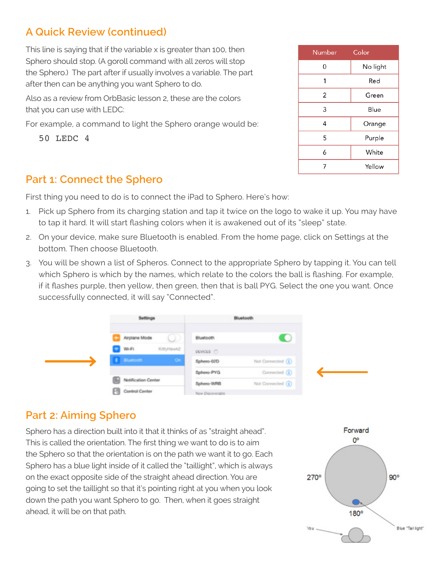## **A Quick Review (continued)**

This line is saying that if the variable x is greater than 100, then Sphero should stop. (A goroll command with all zeros will stop the Sphero.) The part after if usually involves a variable. The part after then can be anything you want Sphero to do.

Also as a review from OrbBasic lesson 2, these are the colors that you can use with LEDC:

For example, a command to light the Sphero orange would be:

50 LEDC 4

## **Part 1: Connect the Sphero**

First thing you need to do is to connect the iPad to Sphero. Here's how:

- 1. Pick up Sphero from its charging station and tap it twice on the logo to wake it up. You may have to tap it hard. It will start flashing colors when it is awakened out of its "sleep" state.
- 2. On your device, make sure Bluetooth is enabled. From the home page, click on Settings at the bottom. Then choose Bluetooth.
- 3. You will be shown a list of Spheros. Connect to the appropriate Sphero by tapping it. You can tell which Sphero is which by the names, which relate to the colors the ball is flashing. For example, if it flashes purple, then yellow, then green, then that is ball PYG. Select the one you want. Once successfully connected, it will say "Connected".



# **Part 2: Aiming Sphero**

Sphero has a direction built into it that it thinks of as "straight ahead". This is called the orientation. The first thing we want to do is to aim the Sphero so that the orientation is on the path we want it to go. Each Sphero has a blue light inside of it called the "taillight", which is always on the exact opposite side of the straight ahead direction. You are going to set the taillight so that it's pointing right at you when you look down the path you want Sphero to go. Then, when it goes straight ahead, it will be on that path.



| Number | Color    |
|--------|----------|
| 0      | No light |
| 1      | Red      |
| 2      | Green    |
| 3      | Blue     |
| 4      | Orange   |
| 5      | Purple   |
| 6      | White    |
| 7      | Yellow   |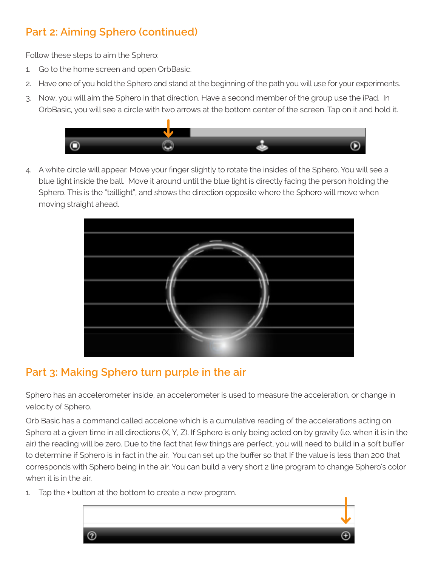## **Part 2: Aiming Sphero (continued)**

Follow these steps to aim the Sphero:

- 1. Go to the home screen and open OrbBasic.
- 2. Have one of you hold the Sphero and stand at the beginning of the path you will use for your experiments.
- 3. Now, you will aim the Sphero in that direction. Have a second member of the group use the iPad. In OrbBasic, you will see a circle with two arrows at the bottom center of the screen. Tap on it and hold it.



4. A white circle will appear. Move your finger slightly to rotate the insides of the Sphero. You will see a blue light inside the ball. Move it around until the blue light is directly facing the person holding the Sphero. This is the "taillight", and shows the direction opposite where the Sphero will move when moving straight ahead.



# **Part 3: Making Sphero turn purple in the air**

Sphero has an accelerometer inside, an accelerometer is used to measure the acceleration, or change in velocity of Sphero.

Orb Basic has a command called accelone which is a cumulative reading of the accelerations acting on Sphero at a given time in all directions (X, Y, Z). If Sphero is only being acted on by gravity (i.e. when it is in the air) the reading will be zero. Due to the fact that few things are perfect, you will need to build in a soft buffer to determine if Sphero is in fact in the air. You can set up the buffer so that If the value is less than 200 that corresponds with Sphero being in the air. You can build a very short 2 line program to change Sphero's color when it is in the air.

1. Tap the + button at the bottom to create a new program.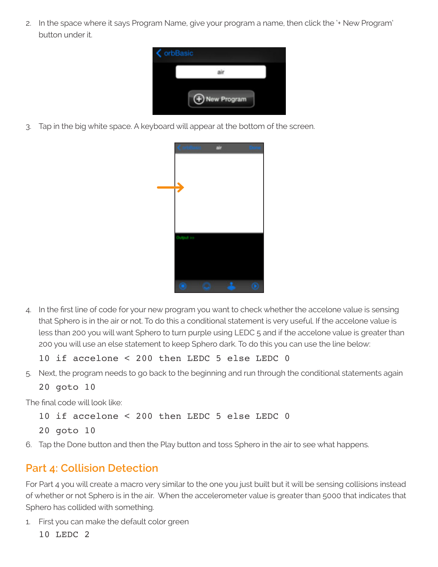2. In the space where it says Program Name, give your program a name, then click the '+ New Program' button under it.



3. Tap in the big white space. A keyboard will appear at the bottom of the screen.



4. In the first line of code for your new program you want to check whether the accelone value is sensing that Sphero is in the air or not. To do this a conditional statement is very useful. If the accelone value is less than 200 you will want Sphero to turn purple using LEDC 5 and if the accelone value is greater than 200 you will use an else statement to keep Sphero dark. To do this you can use the line below:

```
10 if accelone < 200 then LEDC 5 else LEDC 0
```
5. Next, the program needs to go back to the beginning and run through the conditional statements again

```
20 goto 10
```
The final code will look like:

10 if accelone < 200 then LEDC 5 else LEDC 0

```
20 goto 10
```
6. Tap the Done button and then the Play button and toss Sphero in the air to see what happens.

### **Part 4: Collision Detection**

For Part 4 you will create a macro very similar to the one you just built but it will be sensing collisions instead of whether or not Sphero is in the air. When the accelerometer value is greater than 5000 that indicates that Sphero has collided with something.

- 1. First you can make the default color green
	- 10 LEDC 2